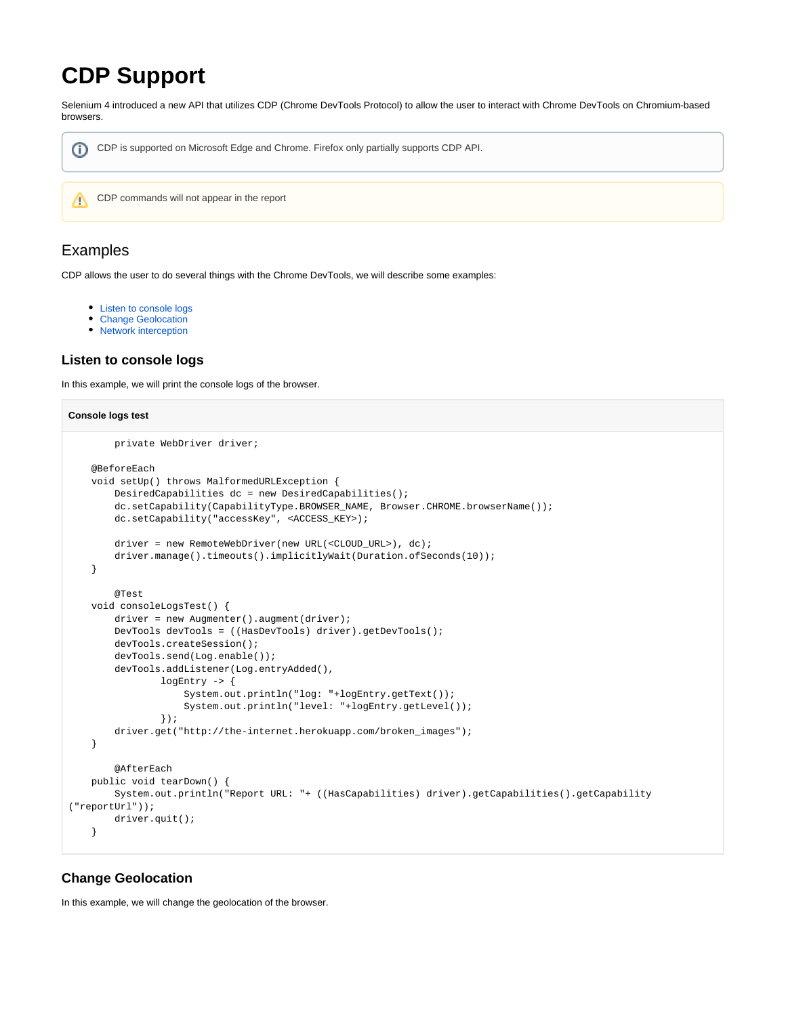# **CDP Support**

Selenium 4 introduced a new API that utilizes CDP (Chrome DevTools Protocol) to allow the user to interact with Chrome DevTools on Chromium-based browsers.



## Examples

CDP allows the user to do several things with the Chrome DevTools, we will describe some examples:

- [Listen to console logs](#page-0-0)
- [Change Geolocation](#page-0-1)
- [Network interception](#page-1-0)

### <span id="page-0-0"></span>**Listen to console logs**

In this example, we will print the console logs of the browser.

```
Console logs test
         private WebDriver driver;
     @BeforeEach
     void setUp() throws MalformedURLException {
         DesiredCapabilities dc = new DesiredCapabilities();
        dc.setCapability(CapabilityType.BROWSER_NAME, Browser.CHROME.browserName());
        dc.setCapability("accessKey", <ACCESS_KEY>);
         driver = new RemoteWebDriver(new URL(<CLOUD_URL>), dc);
        driver.manage().timeouts().implicitlyWait(Duration.ofSeconds(10));
     }
         @Test
     void consoleLogsTest() {
       driver = new Augmenter().augment(driver);
        DevTools devTools = ((HasDevTools) driver).getDevTools();
        devTools.createSession();
        devTools.send(Log.enable());
         devTools.addListener(Log.entryAdded(),
                 logEntry -> {
                     System.out.println("log: "+logEntry.getText());
                     System.out.println("level: "+logEntry.getLevel());
                 });
         driver.get("http://the-internet.herokuapp.com/broken_images");
     }
         @AfterEach
    public void tearDown() {
       System.out.println("Report URL: "+ ((HasCapabilities) driver).getCapabilities().getCapability
("reportUrl"));
         driver.quit();
    \mathfrak{g}
```
## <span id="page-0-1"></span>**Change Geolocation**

In this example, we will change the geolocation of the browser.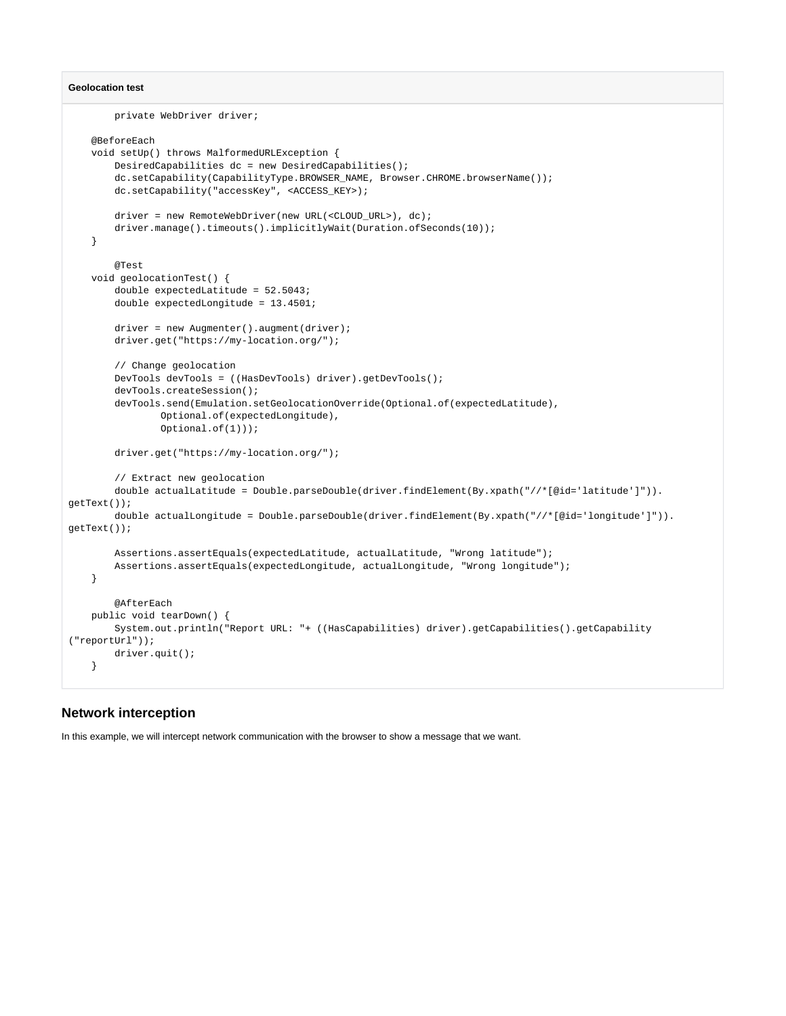#### **Geolocation test**

```
 private WebDriver driver;
     @BeforeEach
     void setUp() throws MalformedURLException {
         DesiredCapabilities dc = new DesiredCapabilities();
         dc.setCapability(CapabilityType.BROWSER_NAME, Browser.CHROME.browserName());
         dc.setCapability("accessKey", <ACCESS_KEY>);
         driver = new RemoteWebDriver(new URL(<CLOUD_URL>), dc);
       driver.manage().timeouts().implicitlyWait(Duration.ofSeconds(10));
     }
         @Test
     void geolocationTest() {
         double expectedLatitude = 52.5043;
         double expectedLongitude = 13.4501;
         driver = new Augmenter().augment(driver);
         driver.get("https://my-location.org/");
         // Change geolocation
         DevTools devTools = ((HasDevTools) driver).getDevTools();
         devTools.createSession();
        devTools.send(Emulation.setGeolocationOverride(Optional.of(expectedLatitude),
                 Optional.of(expectedLongitude),
                 Optional.of(1)));
         driver.get("https://my-location.org/");
         // Extract new geolocation
         double actualLatitude = Double.parseDouble(driver.findElement(By.xpath("//*[@id='latitude']")).
getText());
        double actualLongitude = Double.parseDouble(driver.findElement(By.xpath("//*[@id='longitude']")).
getText());
        Assertions.assertEquals(expectedLatitude, actualLatitude, "Wrong latitude");
        Assertions.assertEquals(expectedLongitude, actualLongitude, "Wrong longitude");
     }
         @AfterEach
     public void tearDown() {
        System.out.println("Report URL: "+ ((HasCapabilities) driver).getCapabilities().getCapability
("reportUrl"));
        driver.quit();
     }
```
#### <span id="page-1-0"></span>**Network interception**

In this example, we will intercept network communication with the browser to show a message that we want.